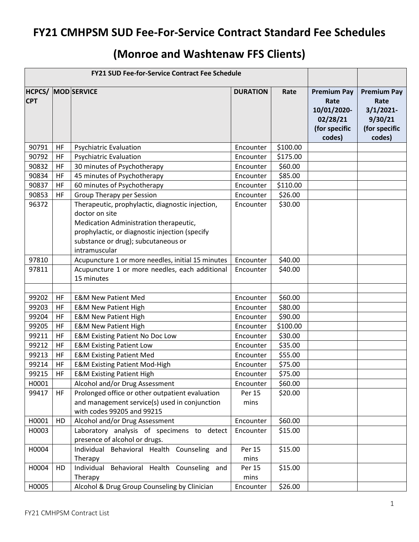## **FY21 CMHPSM SUD Fee-For-Service Contract Standard Fee Schedules**

## **(Monroe and Washtenaw FFS Clients)**

| <b>FY21 SUD Fee-for-Service Contract Fee Schedule</b> |           |                                                                                                                                                                                                                        |                     |                    |                                                                                  |                                                                                  |
|-------------------------------------------------------|-----------|------------------------------------------------------------------------------------------------------------------------------------------------------------------------------------------------------------------------|---------------------|--------------------|----------------------------------------------------------------------------------|----------------------------------------------------------------------------------|
| <b>HCPCS/</b><br><b>CPT</b>                           |           | <b>MOD</b> SERVICE                                                                                                                                                                                                     | <b>DURATION</b>     | Rate               | <b>Premium Pay</b><br>Rate<br>10/01/2020-<br>02/28/21<br>(for specific<br>codes) | <b>Premium Pay</b><br>Rate<br>$3/1/2021$ -<br>9/30/21<br>(for specific<br>codes) |
| 90791                                                 | HF        | <b>Psychiatric Evaluation</b>                                                                                                                                                                                          | Encounter           | \$100.00           |                                                                                  |                                                                                  |
| 90792                                                 | HF        | <b>Psychiatric Evaluation</b>                                                                                                                                                                                          | Encounter           | \$175.00           |                                                                                  |                                                                                  |
| 90832                                                 | HF        | 30 minutes of Psychotherapy                                                                                                                                                                                            | Encounter           | \$60.00            |                                                                                  |                                                                                  |
| 90834                                                 | <b>HF</b> | 45 minutes of Psychotherapy                                                                                                                                                                                            | Encounter           | \$85.00            |                                                                                  |                                                                                  |
| 90837                                                 | HF        | 60 minutes of Psychotherapy                                                                                                                                                                                            | Encounter           | \$110.00           |                                                                                  |                                                                                  |
| 90853                                                 | HF        | <b>Group Therapy per Session</b>                                                                                                                                                                                       | Encounter           | \$26.00            |                                                                                  |                                                                                  |
| 96372                                                 |           | Therapeutic, prophylactic, diagnostic injection,<br>doctor on site<br>Medication Administration therapeutic,<br>prophylactic, or diagnostic injection (specify<br>substance or drug); subcutaneous or<br>intramuscular | Encounter           | \$30.00            |                                                                                  |                                                                                  |
| 97810                                                 |           | Acupuncture 1 or more needles, initial 15 minutes                                                                                                                                                                      | Encounter           | \$40.00            |                                                                                  |                                                                                  |
| 97811                                                 |           | Acupuncture 1 or more needles, each additional<br>15 minutes                                                                                                                                                           | Encounter           | \$40.00            |                                                                                  |                                                                                  |
|                                                       |           |                                                                                                                                                                                                                        |                     |                    |                                                                                  |                                                                                  |
| 99202                                                 | HF        | <b>E&amp;M New Patient Med</b>                                                                                                                                                                                         | Encounter           | \$60.00            |                                                                                  |                                                                                  |
| 99203                                                 | <b>HF</b> | <b>E&amp;M New Patient High</b>                                                                                                                                                                                        | Encounter           | \$80.00            |                                                                                  |                                                                                  |
| 99204                                                 | HF        | <b>E&amp;M New Patient High</b>                                                                                                                                                                                        | Encounter           | \$90.00            |                                                                                  |                                                                                  |
| 99205                                                 | HF        | <b>E&amp;M New Patient High</b>                                                                                                                                                                                        | Encounter           | \$100.00           |                                                                                  |                                                                                  |
| 99211                                                 | HF        | <b>E&amp;M Existing Patient No Doc Low</b>                                                                                                                                                                             | Encounter           | \$30.00            |                                                                                  |                                                                                  |
| 99212                                                 | HF        | <b>E&amp;M Existing Patient Low</b>                                                                                                                                                                                    | Encounter           | \$35.00            |                                                                                  |                                                                                  |
| 99213                                                 | HF        | <b>E&amp;M Existing Patient Med</b>                                                                                                                                                                                    | Encounter           | \$55.00            |                                                                                  |                                                                                  |
| 99214                                                 | HF        | <b>E&amp;M Existing Patient Mod-High</b>                                                                                                                                                                               | Encounter           | \$75.00            |                                                                                  |                                                                                  |
| 99215                                                 | HF        | <b>E&amp;M Existing Patient High</b>                                                                                                                                                                                   | Encounter           | \$75.00            |                                                                                  |                                                                                  |
| H0001                                                 |           | Alcohol and/or Drug Assessment                                                                                                                                                                                         | Encounter           | \$60.00            |                                                                                  |                                                                                  |
| 99417                                                 | <b>HF</b> | Prolonged office or other outpatient evaluation<br>and management service(s) used in conjunction<br>with codes 99205 and 99215                                                                                         | Per 15<br>mins      | \$20.00            |                                                                                  |                                                                                  |
| H0001                                                 | HD        | Alcohol and/or Drug Assessment                                                                                                                                                                                         | Encounter           | \$60.00            |                                                                                  |                                                                                  |
| H0003<br>H0004                                        |           | Laboratory analysis of specimens to detect<br>presence of alcohol or drugs.<br>Individual Behavioral Health Counseling and                                                                                             | Encounter<br>Per 15 | \$15.00<br>\$15.00 |                                                                                  |                                                                                  |
|                                                       |           | Therapy                                                                                                                                                                                                                | mins                |                    |                                                                                  |                                                                                  |
| H0004                                                 | HD        | Individual Behavioral Health Counseling and<br>Therapy                                                                                                                                                                 | Per 15<br>mins      | \$15.00            |                                                                                  |                                                                                  |
| H0005                                                 |           | Alcohol & Drug Group Counseling by Clinician                                                                                                                                                                           | Encounter           | \$26.00            |                                                                                  |                                                                                  |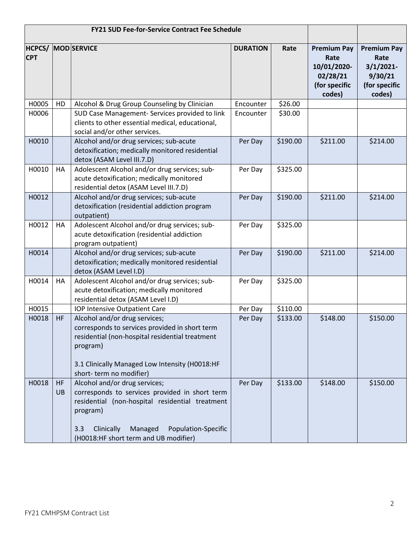| <b>FY21 SUD Fee-for-Service Contract Fee Schedule</b> |                        |                                                                                                                                                                                                                                                |                 |          |                                                                                  |                                                                                  |
|-------------------------------------------------------|------------------------|------------------------------------------------------------------------------------------------------------------------------------------------------------------------------------------------------------------------------------------------|-----------------|----------|----------------------------------------------------------------------------------|----------------------------------------------------------------------------------|
| <b>HCPCS/</b><br><b>CPT</b>                           |                        | <b>MOD SERVICE</b>                                                                                                                                                                                                                             | <b>DURATION</b> | Rate     | <b>Premium Pay</b><br>Rate<br>10/01/2020-<br>02/28/21<br>(for specific<br>codes) | <b>Premium Pay</b><br>Rate<br>$3/1/2021$ -<br>9/30/21<br>(for specific<br>codes) |
| H0005                                                 | HD                     | Alcohol & Drug Group Counseling by Clinician                                                                                                                                                                                                   | Encounter       | \$26.00  |                                                                                  |                                                                                  |
| H0006                                                 |                        | SUD Case Management- Services provided to link<br>clients to other essential medical, educational,<br>social and/or other services.                                                                                                            | Encounter       | \$30.00  |                                                                                  |                                                                                  |
| H0010                                                 |                        | Alcohol and/or drug services; sub-acute<br>detoxification; medically monitored residential<br>detox (ASAM Level III.7.D)                                                                                                                       | Per Day         | \$190.00 | \$211.00                                                                         | \$214.00                                                                         |
| H0010                                                 | HA                     | Adolescent Alcohol and/or drug services; sub-<br>acute detoxification; medically monitored<br>residential detox (ASAM Level III.7.D)                                                                                                           | Per Day         | \$325.00 |                                                                                  |                                                                                  |
| H0012                                                 |                        | Alcohol and/or drug services; sub-acute<br>detoxification (residential addiction program<br>outpatient)                                                                                                                                        | Per Day         | \$190.00 | \$211.00                                                                         | \$214.00                                                                         |
| H0012                                                 | HA                     | Adolescent Alcohol and/or drug services; sub-<br>acute detoxification (residential addiction<br>program outpatient)                                                                                                                            | Per Day         | \$325.00 |                                                                                  |                                                                                  |
| H0014                                                 |                        | Alcohol and/or drug services; sub-acute<br>detoxification; medically monitored residential<br>detox (ASAM Level I.D)                                                                                                                           | Per Day         | \$190.00 | \$211.00                                                                         | \$214.00                                                                         |
| H0014                                                 | HA                     | Adolescent Alcohol and/or drug services; sub-<br>acute detoxification; medically monitored<br>residential detox (ASAM Level I.D)                                                                                                               | Per Day         | \$325.00 |                                                                                  |                                                                                  |
| H0015                                                 |                        | IOP Intensive Outpatient Care                                                                                                                                                                                                                  | Per Day         | \$110.00 |                                                                                  |                                                                                  |
| H0018                                                 | <b>HF</b>              | Alcohol and/or drug services;<br>corresponds to services provided in short term<br>residential (non-hospital residential treatment<br>program)<br>3.1 Clinically Managed Low Intensity (H0018:HF<br>short-term no modifier)                    | Per Day         | \$133.00 | \$148.00                                                                         | \$150.00                                                                         |
| H0018                                                 | <b>HF</b><br><b>UB</b> | Alcohol and/or drug services;<br>corresponds to services provided in short term<br>residential (non-hospital residential treatment<br>program)<br>Managed<br>Population-Specific<br>3.3<br>Clinically<br>(H0018:HF short term and UB modifier) | Per Day         | \$133.00 | \$148.00                                                                         | \$150.00                                                                         |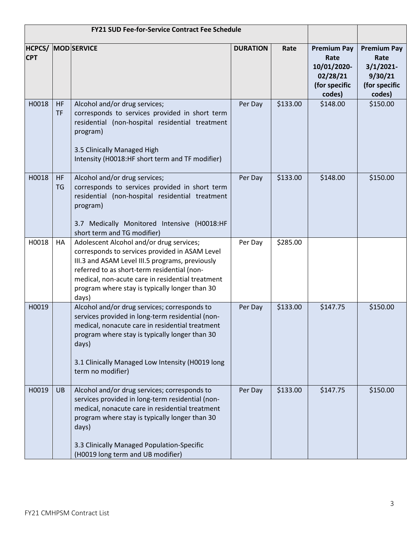| <b>FY21 SUD Fee-for-Service Contract Fee Schedule</b> |                 |                                                                                                                                                                                                                                                                                                             |                 |          |                                                                                  |                                                                                  |
|-------------------------------------------------------|-----------------|-------------------------------------------------------------------------------------------------------------------------------------------------------------------------------------------------------------------------------------------------------------------------------------------------------------|-----------------|----------|----------------------------------------------------------------------------------|----------------------------------------------------------------------------------|
| <b>CPT</b>                                            |                 | <b>HCPCS/ MOD SERVICE</b>                                                                                                                                                                                                                                                                                   | <b>DURATION</b> | Rate     | <b>Premium Pay</b><br>Rate<br>10/01/2020-<br>02/28/21<br>(for specific<br>codes) | <b>Premium Pay</b><br>Rate<br>$3/1/2021$ -<br>9/30/21<br>(for specific<br>codes) |
| H0018                                                 | HF<br><b>TF</b> | Alcohol and/or drug services;<br>corresponds to services provided in short term<br>residential (non-hospital residential treatment<br>program)<br>3.5 Clinically Managed High<br>Intensity (H0018:HF short term and TF modifier)                                                                            | Per Day         | \$133.00 | \$148.00                                                                         | \$150.00                                                                         |
| H0018                                                 | <b>HF</b><br>TG | Alcohol and/or drug services;<br>corresponds to services provided in short term<br>residential (non-hospital residential treatment<br>program)<br>3.7 Medically Monitored Intensive (H0018:HF<br>short term and TG modifier)                                                                                | Per Day         | \$133.00 | \$148.00                                                                         | \$150.00                                                                         |
| H0018                                                 | HA              | Adolescent Alcohol and/or drug services;<br>corresponds to services provided in ASAM Level<br>III.3 and ASAM Level III.5 programs, previously<br>referred to as short-term residential (non-<br>medical, non-acute care in residential treatment<br>program where stay is typically longer than 30<br>days) | Per Day         | \$285.00 |                                                                                  |                                                                                  |
| H0019                                                 |                 | Alcohol and/or drug services; corresponds to<br>services provided in long-term residential (non-<br>medical, nonacute care in residential treatment<br>program where stay is typically longer than 30<br>days)<br>3.1 Clinically Managed Low Intensity (H0019 long<br>term no modifier)                     | Per Day         | \$133.00 | \$147.75                                                                         | \$150.00                                                                         |
| H0019                                                 | UB              | Alcohol and/or drug services; corresponds to<br>services provided in long-term residential (non-<br>medical, nonacute care in residential treatment<br>program where stay is typically longer than 30<br>days)<br>3.3 Clinically Managed Population-Specific<br>(H0019 long term and UB modifier)           | Per Day         | \$133.00 | \$147.75                                                                         | \$150.00                                                                         |